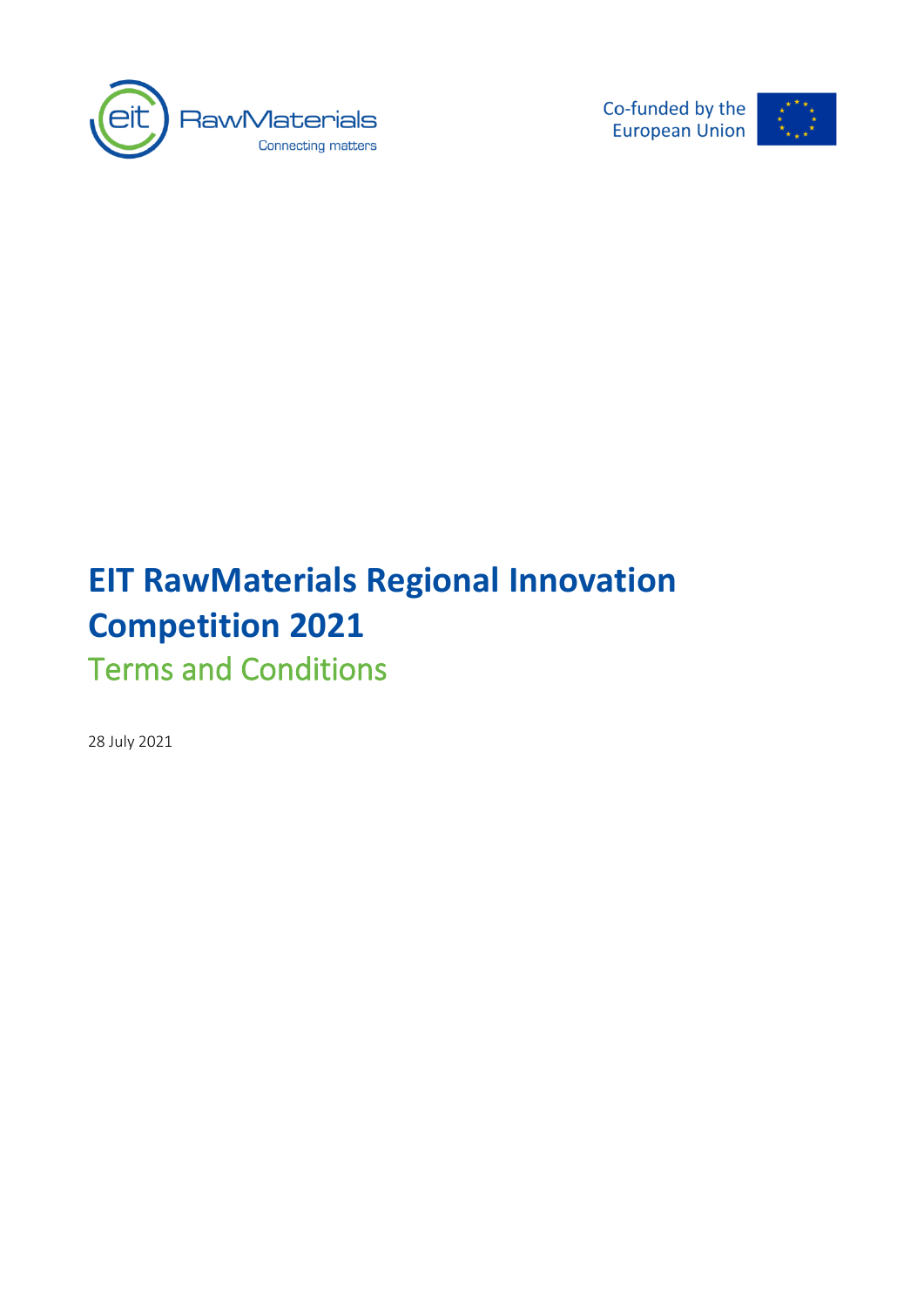

Co-funded by the **European Union** 



# **EIT RawMaterials Regional Innovation Competition 2021** Terms and Conditions

28 July 2021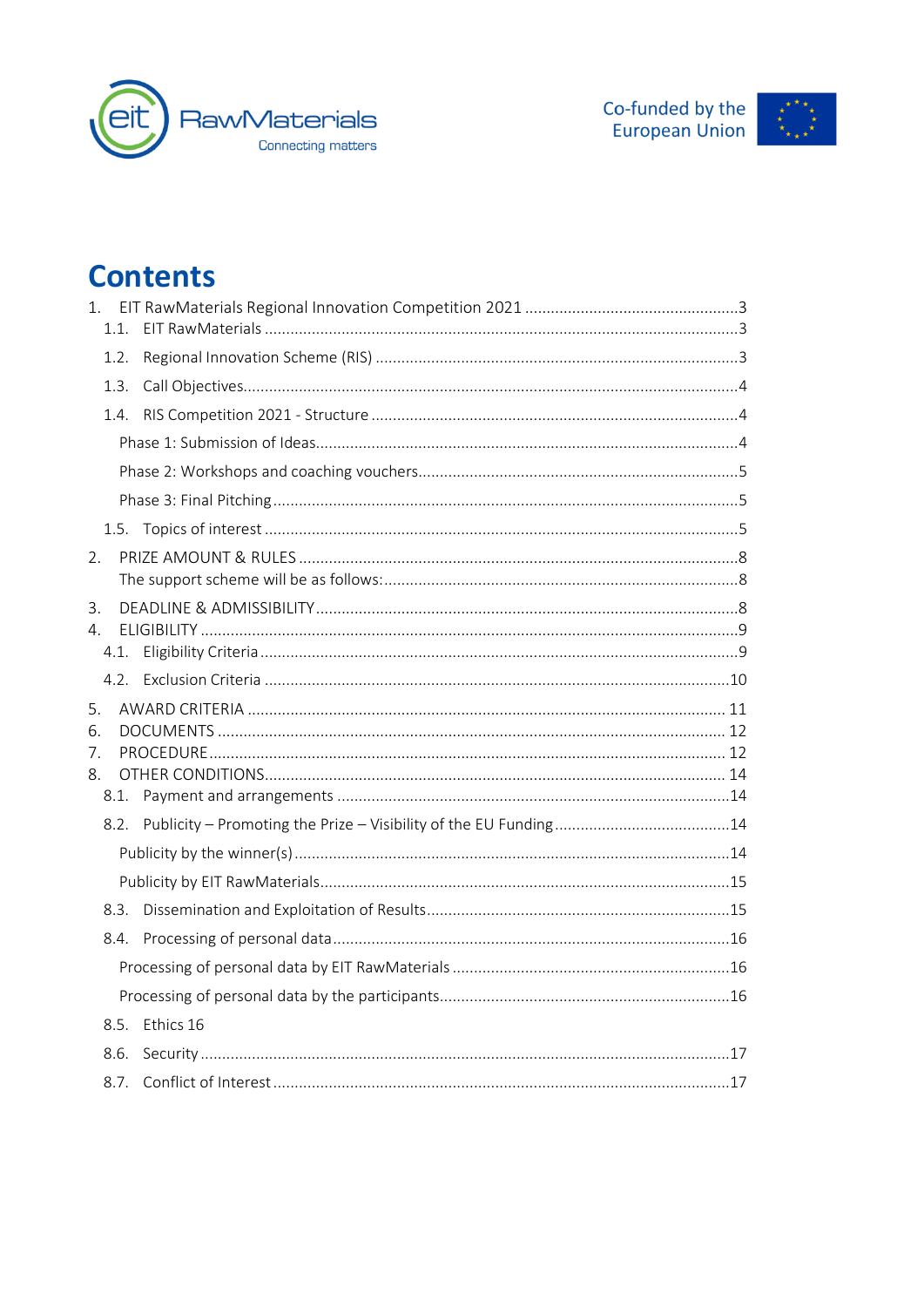



## **Contents**

| 1.<br>1.1.                   |                |  |
|------------------------------|----------------|--|
| 1.2.                         |                |  |
| 1.3.                         |                |  |
| 1.4.                         |                |  |
|                              |                |  |
|                              |                |  |
|                              |                |  |
|                              |                |  |
| 2.                           |                |  |
| 3.<br>$4_{\cdot}$            | 4.1.           |  |
|                              |                |  |
| 5.<br>6.<br>7.<br>8.<br>8.1. |                |  |
|                              |                |  |
|                              |                |  |
|                              |                |  |
| 8.3.                         |                |  |
| 8.4.                         |                |  |
|                              |                |  |
|                              |                |  |
|                              | 8.5. Ethics 16 |  |
| 8.6.                         |                |  |
|                              |                |  |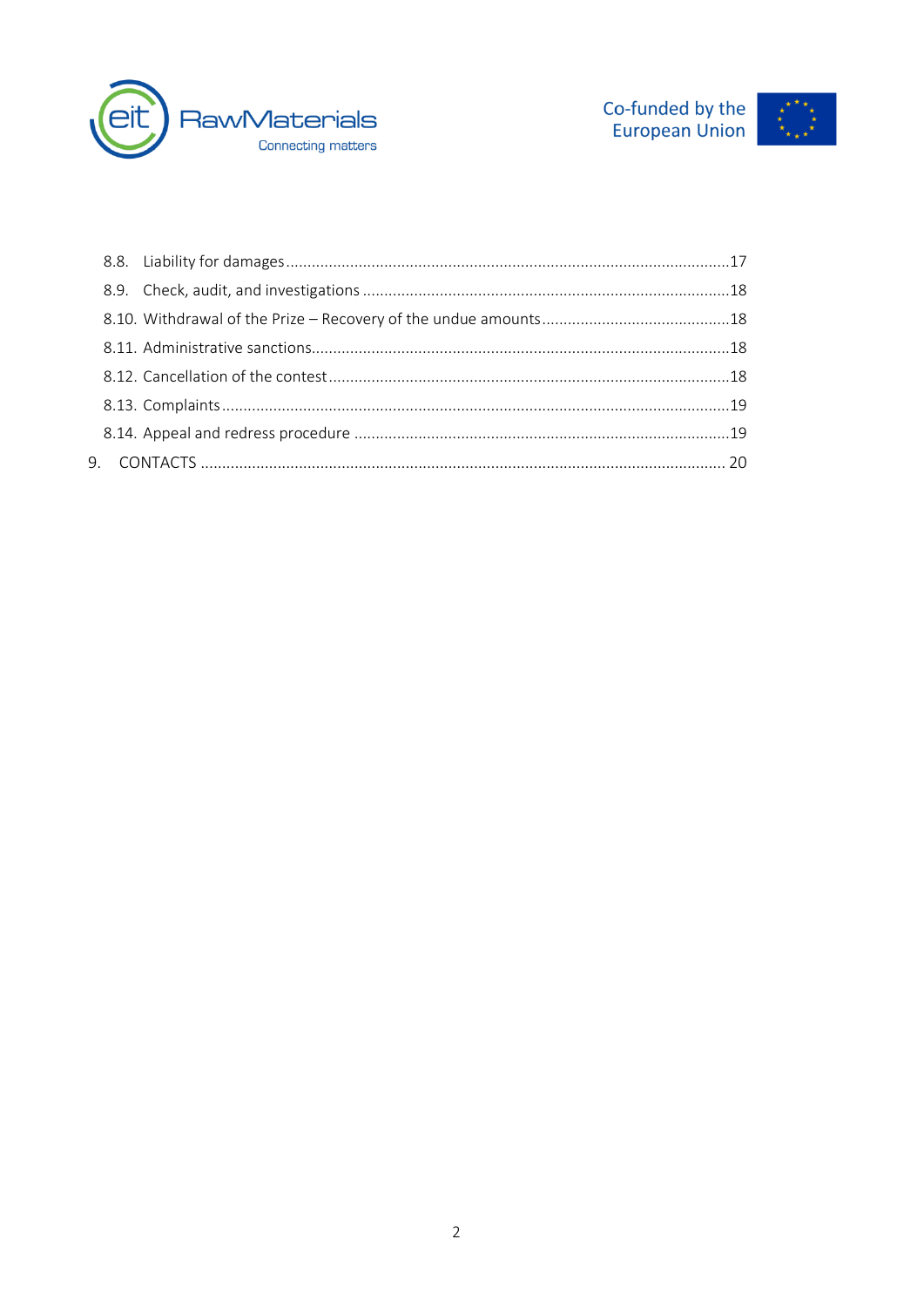



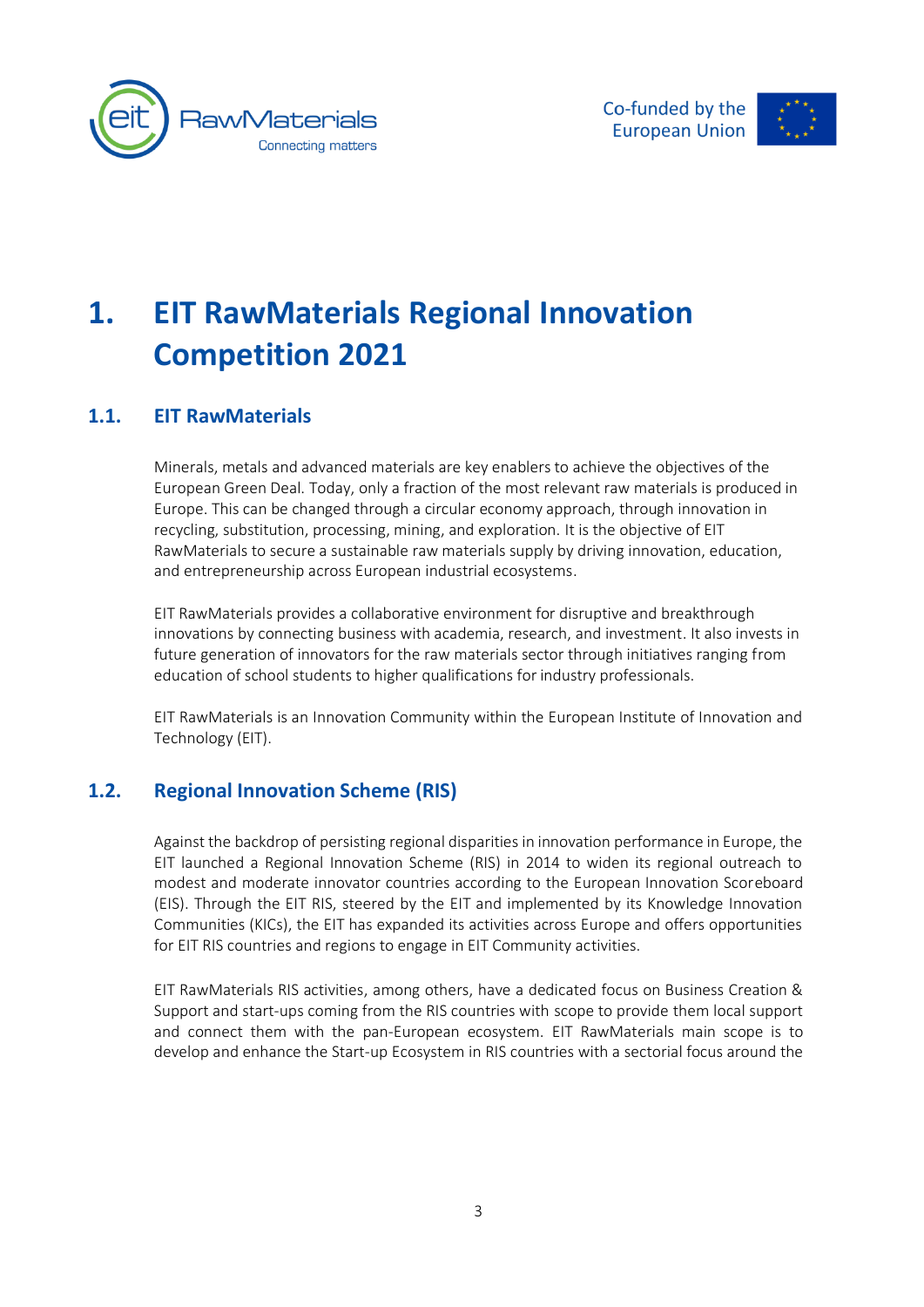



# <span id="page-3-0"></span>**1. EIT RawMaterials Regional Innovation Competition 2021**

#### <span id="page-3-1"></span>**1.1. EIT RawMaterials**

Minerals, metals and advanced materials are key enablers to achieve the objectives of the European Green Deal. Today, only a fraction of the most relevant raw materials is produced in Europe. This can be changed through a circular economy approach, through innovation in recycling, substitution, processing, mining, and exploration. It is the objective of EIT RawMaterials to secure a sustainable raw materials supply by driving innovation, education, and entrepreneurship across European industrial ecosystems.

EIT RawMaterials provides a collaborative environment for disruptive and breakthrough innovations by connecting business with academia, research, and investment. It also invests in future generation of innovators for the raw materials sector through initiatives ranging from education of school students to higher qualifications for industry professionals.

EIT RawMaterials is an Innovation Community within the European Institute of Innovation and Technology (EIT).

#### <span id="page-3-2"></span>**1.2. Regional Innovation Scheme (RIS)**

Against the backdrop of persisting regional disparities in innovation performance in Europe, the EIT launched a Regional Innovation Scheme (RIS) in 2014 to widen its regional outreach to modest and moderate innovator countries according to the European Innovation Scoreboard (EIS). Through the EIT RIS, steered by the EIT and implemented by its Knowledge Innovation Communities (KICs), the EIT has expanded its activities across Europe and offers opportunities for EIT RIS countries and regions to engage in EIT Community activities.

EIT RawMaterials RIS activities, among others, have a dedicated focus on Business Creation & Support and start-ups coming from the RIS countries with scope to provide them local support and connect them with the pan-European ecosystem. EIT RawMaterials main scope is to develop and enhance the Start-up Ecosystem in RIS countries with a sectorial focus around the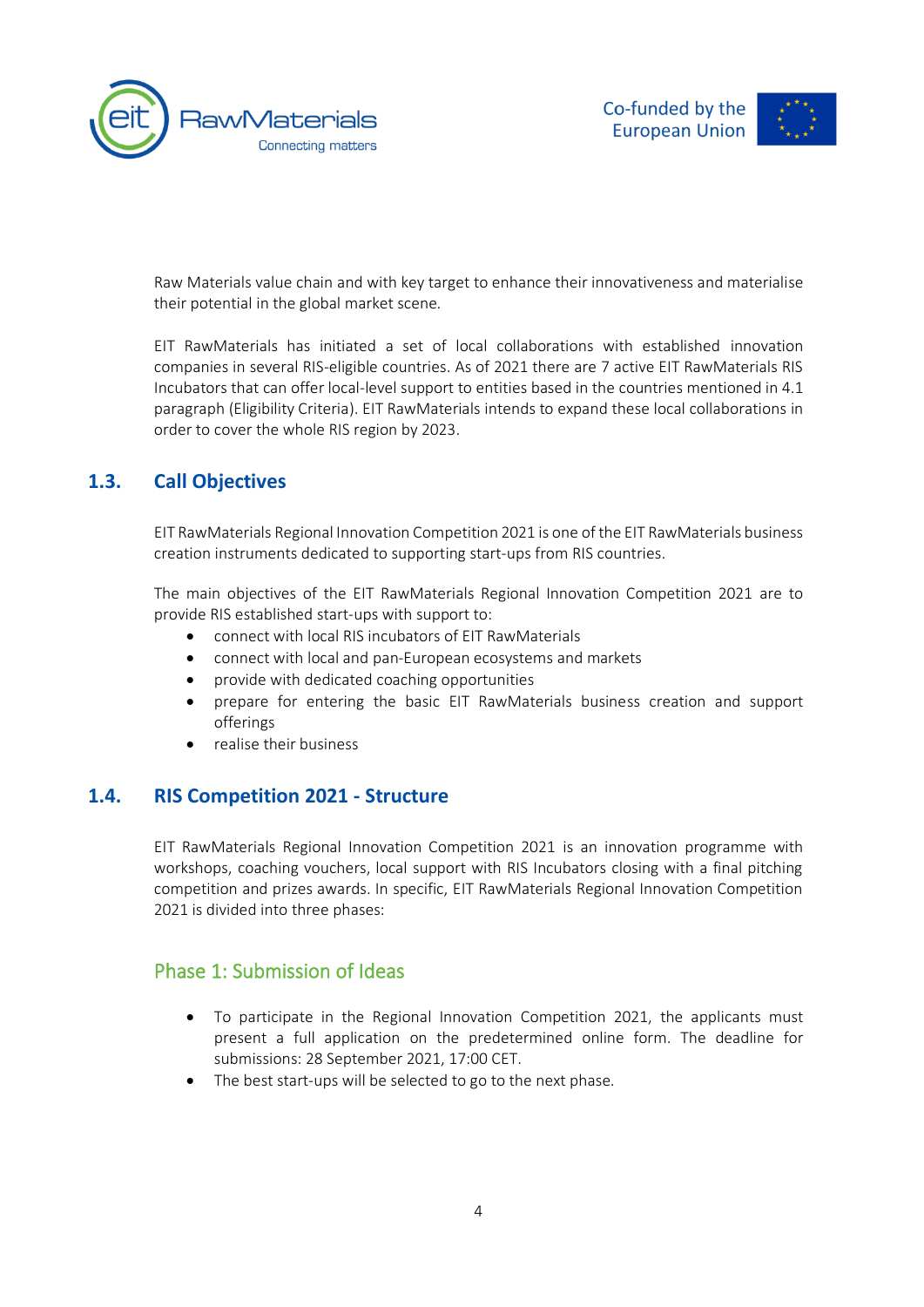



Raw Materials value chain and with key target to enhance their innovativeness and materialise their potential in the global market scene.

EIT RawMaterials has initiated a set of local collaborations with established innovation companies in several RIS-eligible countries. As of 2021 there are 7 active EIT RawMaterials RIS Incubators that can offer local-level support to entities based in the countries mentioned in 4.1 paragraph (Eligibility Criteria). EIT RawMaterials intends to expand these local collaborations in order to cover the whole RIS region by 2023.

#### **1.3. Call Objectives**

<span id="page-4-0"></span>EIT RawMaterials Regional Innovation Competition 2021 is one of the EIT RawMaterials business creation instruments dedicated to supporting start-ups from RIS countries.

The main objectives of the EIT RawMaterials Regional Innovation Competition 2021 are to provide RIS established start-ups with support to:

- connect with local RIS incubators of EIT RawMaterials
- connect with local and pan-European ecosystems and markets
- provide with dedicated coaching opportunities
- prepare for entering the basic EIT RawMaterials business creation and support offerings
- <span id="page-4-1"></span>• realise their business

#### **1.4. RIS Competition 2021 - Structure**

EIT RawMaterials Regional Innovation Competition 2021 is an innovation programme with workshops, coaching vouchers, local support with RIS Incubators closing with a final pitching competition and prizes awards. In specific, EIT RawMaterials Regional Innovation Competition 2021 is divided into three phases:

#### <span id="page-4-2"></span>Phase 1: Submission of Ideas

- To participate in the Regional Innovation Competition 2021, the applicants must present a full application on the predetermined online form. The deadline for submissions: 28 September 2021, 17:00 CET.
- The best start-ups will be selected to go to the next phase.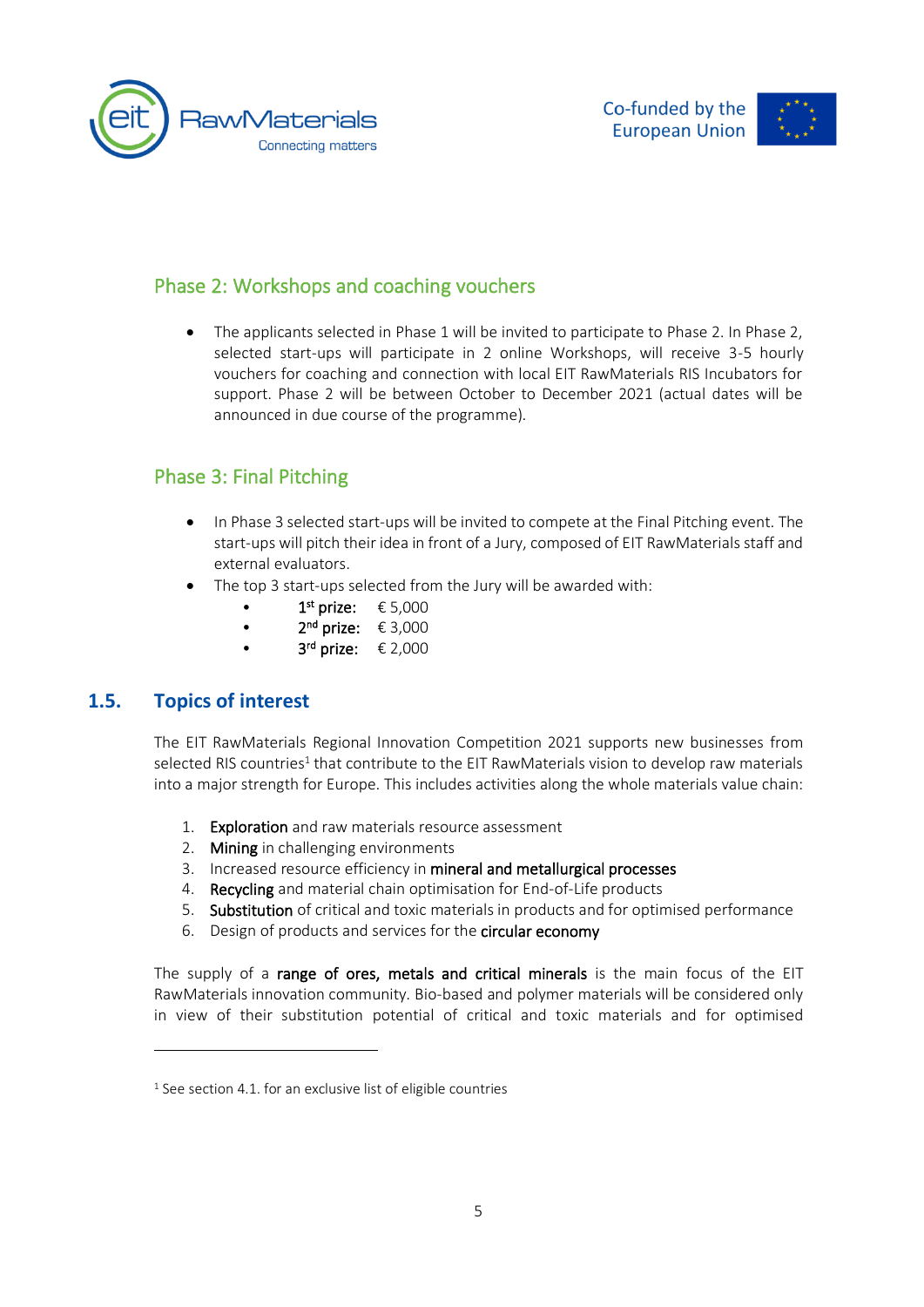



#### <span id="page-5-0"></span>Phase 2: Workshops and coaching vouchers

• The applicants selected in Phase 1 will be invited to participate to Phase 2. In Phase 2, selected start-ups will participate in 2 online Workshops, will receive 3-5 hourly vouchers for coaching and connection with local EIT RawMaterials RIS Incubators for support. Phase 2 will be between October to December 2021 (actual dates will be announced in due course of the programme).

#### <span id="page-5-1"></span>Phase 3: Final Pitching

- In Phase 3 selected start-ups will be invited to compete at the Final Pitching event. The start-ups will pitch their idea in front of a Jury, composed of EIT RawMaterials staff and external evaluators.
- The top 3 start-ups selected from the Jury will be awarded with:
	- $1<sup>st</sup> \text{ prize: } \text{\textsterling}5,000$
	- $2^{nd}$  prize:  $\epsilon$  3,000
	- $3<sup>rd</sup>$  prize:  $\epsilon$  2,000

#### **1.5. Topics of interest**

<span id="page-5-2"></span>The EIT RawMaterialsRegional InnovationCompetition 2021 supports new businesses from selected RIS countries<sup>1</sup> that contribute to the EIT RawMaterials vision to develop raw materials into a major strength for Europe. This includes activities along the whole materials value chain:

- 1. Exploration and raw materials resource assessment
- 2. Mining in challenging environments
- 3. Increased resource efficiency in mineral and metallurgical processes
- 4. Recycling and material chain optimisation for End-of-Life products
- 5. Substitution of critical and toxic materials in products and for optimised performance
- 6. Design of products and services for the circular economy

The supply of a range of ores, metals and critical minerals is the main focus of the EIT RawMaterials innovation community. Bio-based and polymer materials will be considered only in view of their substitution potential of critical and toxic materials and for optimised

 $1$  See section 4.1. for an exclusive list of eligible countries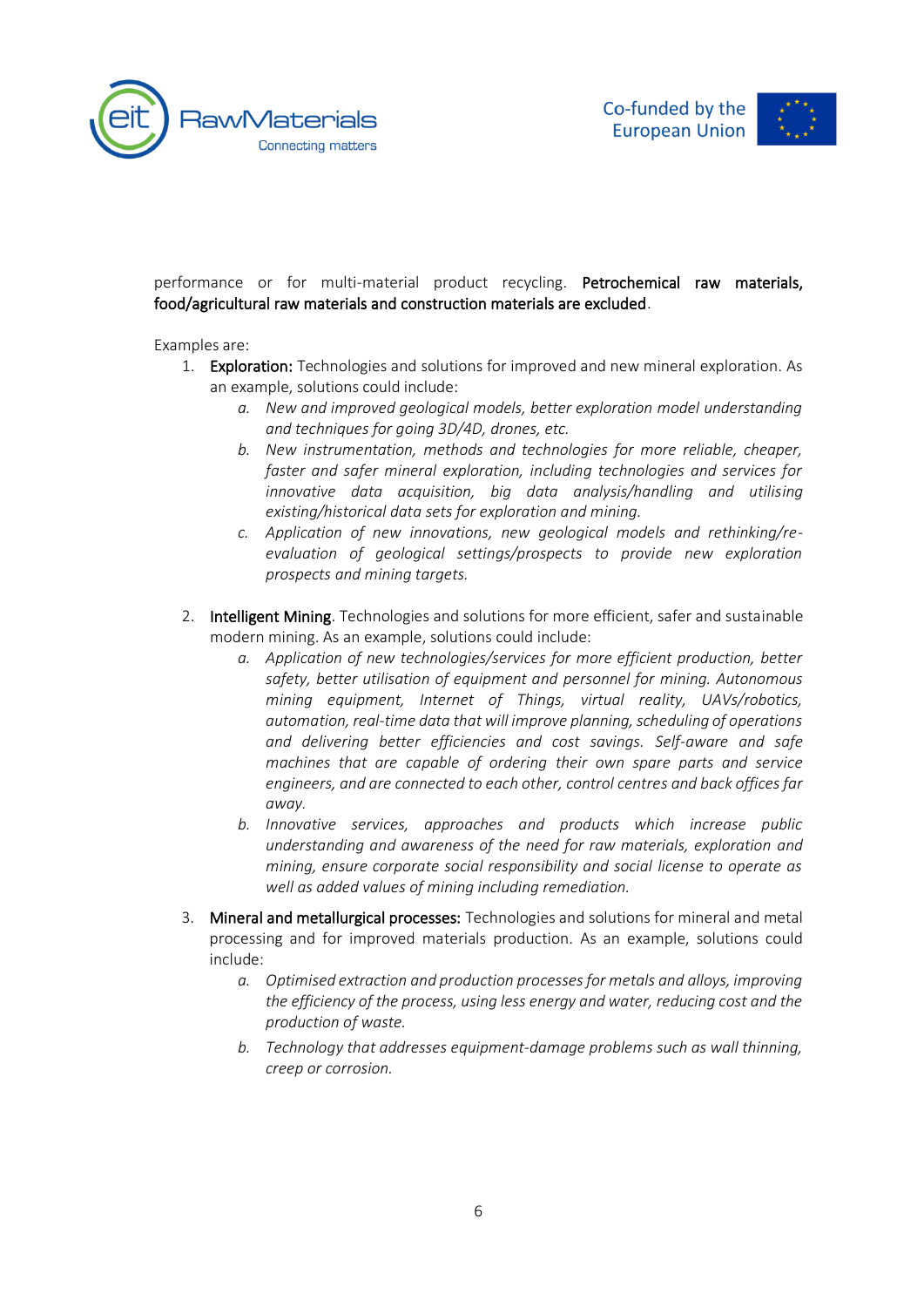



performance or for multi-material product recycling. Petrochemical raw materials, food/agricultural raw materials and construction materials are excluded.

Examples are:

- 1. Exploration: Technologies and solutions for improved and new mineral exploration. As an example, solutions could include:
	- *a. New and improved geological models, better exploration model understanding and techniques for going 3D/4D, drones, etc.*
	- *b. New instrumentation, methods and technologies for more reliable, cheaper, faster and safer mineral exploration, including technologies and services for innovative data acquisition, big data analysis/handling and utilising existing/historical data sets for exploration and mining.*
	- *c. Application of new innovations, new geological models and rethinking/reevaluation of geological settings/prospects to provide new exploration prospects and mining targets.*
- 2. Intelligent Mining. Technologies and solutions for more efficient, safer and sustainable modern mining. As an example, solutions could include:
	- *a. Application of new technologies/services for more efficient production, better safety, better utilisation of equipment and personnel for mining. Autonomous mining equipment, Internet of Things, virtual reality, UAVs/robotics, automation, real-time data that will improve planning, scheduling of operations and delivering better efficiencies and cost savings. Self-aware and safe machines that are capable of ordering their own spare parts and service engineers, and are connected to each other, control centres and back offices far away.*
	- *b. Innovative services, approaches and products which increase public understanding and awareness of the need for raw materials, exploration and mining, ensure corporate social responsibility and social license to operate as well as added values of mining including remediation.*
- 3. Mineral and metallurgical processes: Technologies and solutions for mineral and metal processing and for improved materials production. As an example, solutions could include:
	- *a. Optimised extraction and production processes for metals and alloys, improving the efficiency of the process, using less energy and water, reducing cost and the production of waste.*
	- *b. Technology that addresses equipment-damage problems such as wall thinning, creep or corrosion.*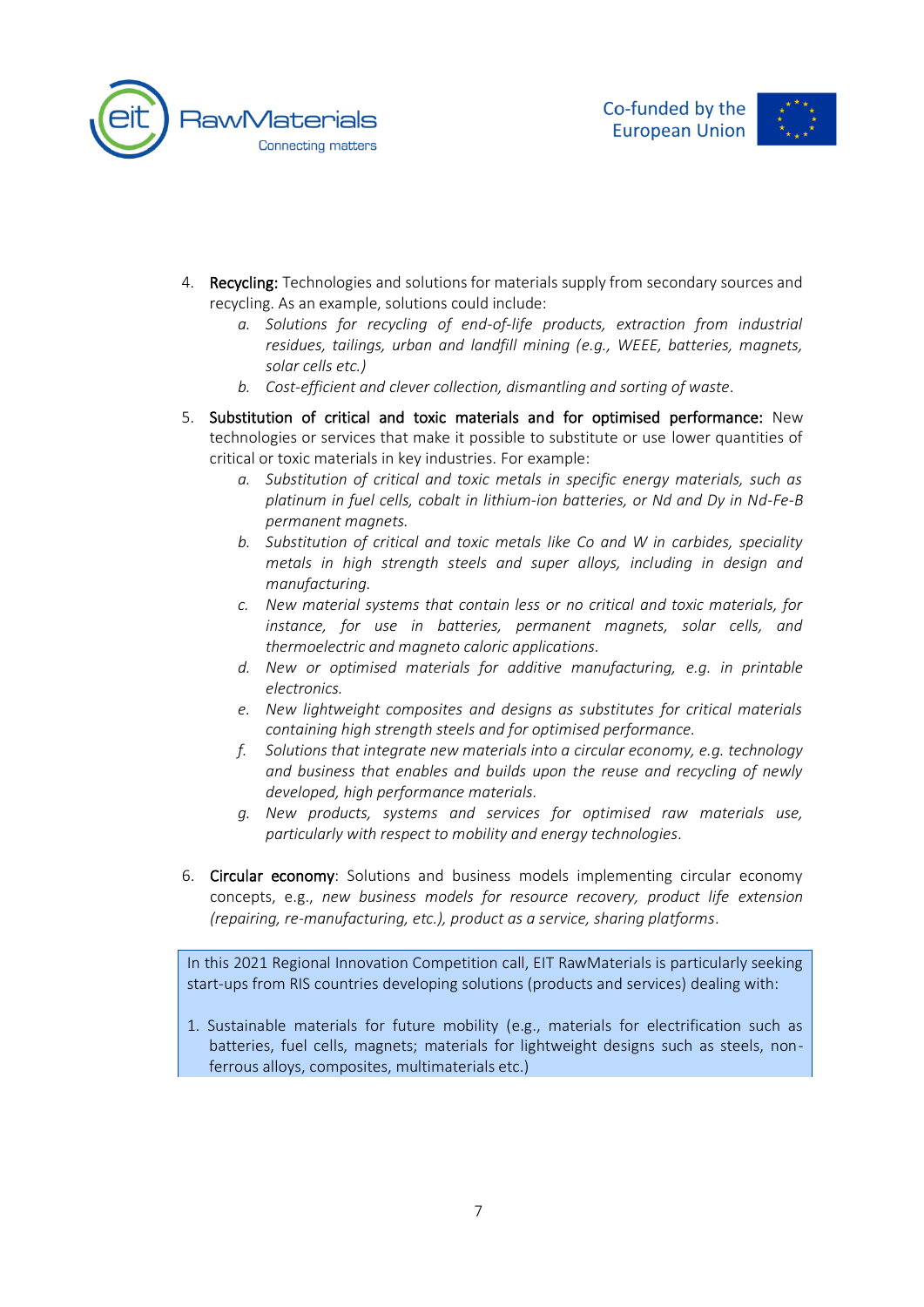





- 4. Recycling: Technologies and solutions for materials supply from secondary sources and recycling. As an example, solutions could include:
	- *a. Solutions for recycling of end-of-life products, extraction from industrial residues, tailings, urban and landfill mining (e.g., WEEE, batteries, magnets, solar cells etc.)*
	- *b. Cost-efficient and clever collection, dismantling and sorting of waste.*
- 5. Substitution of critical and toxic materials and for optimised performance: New technologies or services that make it possible to substitute or use lower quantities of critical or toxic materials in key industries. For example:
	- *a. Substitution of critical and toxic metals in specific energy materials, such as platinum in fuel cells, cobalt in lithium-ion batteries, or Nd and Dy in Nd-Fe-B permanent magnets.*
	- *b. Substitution of critical and toxic metals like Co and W in carbides, speciality metals in high strength steels and super alloys, including in design and manufacturing.*
	- *c. New material systems that contain less or no critical and toxic materials, for instance, for use in batteries, permanent magnets, solar cells, and thermoelectric and magneto caloric applications.*
	- *d. New or optimised materials for additive manufacturing, e.g. in printable electronics.*
	- *e. New lightweight composites and designs as substitutes for critical materials containing high strength steels and for optimised performance.*
	- *f. Solutions that integrate new materials into a circular economy, e.g. technology and business that enables and builds upon the reuse and recycling of newly developed, high performance materials.*
	- *g. New products, systems and services for optimised raw materials use, particularly with respect to mobility and energy technologies.*
- 6. Circular economy: Solutions and business models implementing circular economy concepts, e.g., *new business models for resource recovery, product life extension (repairing, re-manufacturing, etc.), product as a service, sharing platforms*.

In this 2021 Regional Innovation Competition call, EIT RawMaterials is particularly seeking start-ups from RIS countries developing solutions (products and services) dealing with:

1. Sustainable materials for future mobility (e.g., materials for electrification such as batteries, fuel cells, magnets; materials for lightweight designs such as steels, nonferrous alloys, composites, multimaterials etc.)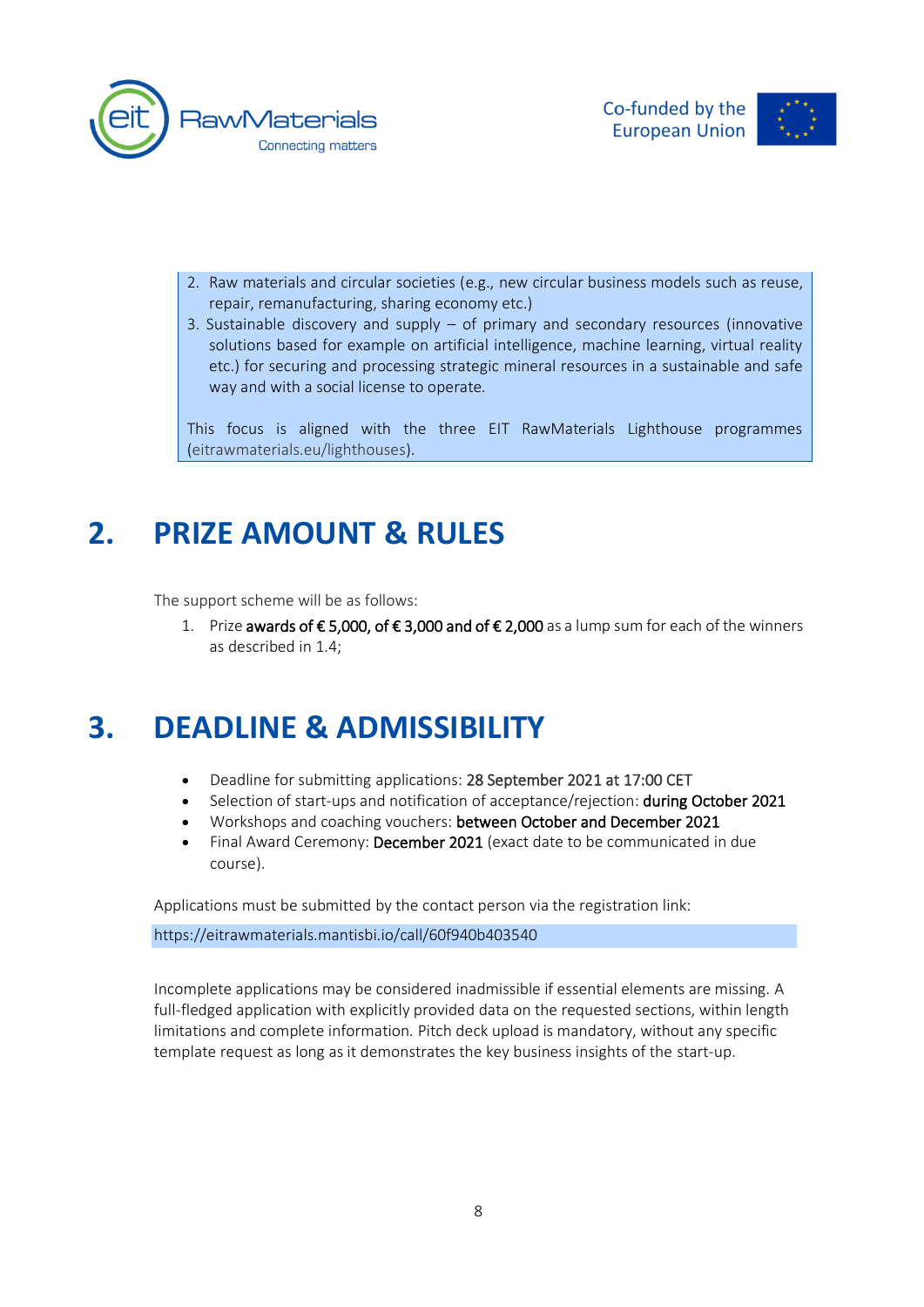



- 2. Raw materials and circular societies (e.g., new circular business models such as reuse, repair, remanufacturing, sharing economy etc.)
- 3. Sustainable discovery and supply of primary and secondary resources (innovative solutions based for example on artificial intelligence, machine learning, virtual reality etc.) for securing and processing strategic mineral resources in a sustainable and safe way and with a social license to operate.

This focus is aligned with the three EIT RawMaterials Lighthouse programmes [\(eitrawmaterials.eu/lighthouses\)](https://eitrawmaterials.eu/lighthouses/).

## <span id="page-8-0"></span>**2. PRIZE AMOUNT & RULES**

<span id="page-8-1"></span>The support scheme will be as follows:

1. Prize awards of € 5,000, of € 3,000 and of € 2,000 as a lump sum for each of the winners as described in 1.4;

### <span id="page-8-2"></span>**3. DEADLINE & ADMISSIBILITY**

- Deadline for submitting applications: 28 September 2021 at 17:00 CET
- Selection of start-ups and notification of acceptance/rejection: during October 2021
- Workshops and coaching vouchers: between October and December 2021
- Final Award Ceremony: December 2021 (exact date to be communicated in due course).

Applications must be submitted by the contact person via the registration link:

https://eitrawmaterials.mantisbi.io/call/60f940b403540

Incomplete applications may be considered inadmissible if essential elements are missing. A full-fledged application with explicitly provided data on the requested sections, within length limitations and complete information. Pitch deck upload is mandatory, without any specific template request as long as it demonstrates the key business insights of the start-up.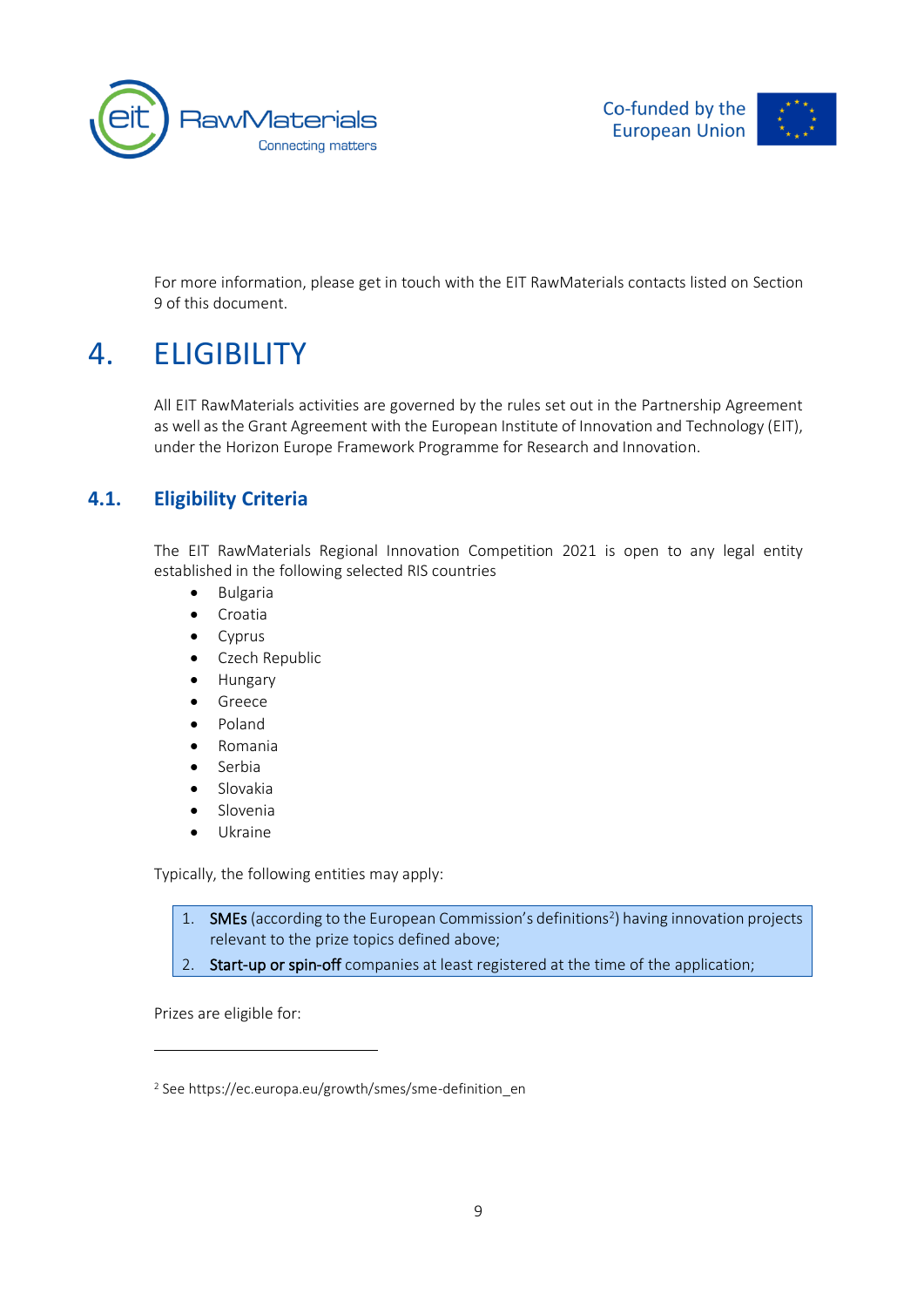



<span id="page-9-0"></span>For more information, please get in touch with the EIT RawMaterials contacts listed on Section 9 of this document.

### 4. ELIGIBILITY

<span id="page-9-1"></span>All EIT RawMaterials activities are governed by the rules set out in the Partnership Agreement as well as the Grant Agreement with the European Institute of Innovation and Technology (EIT), under the Horizon Europe Framework Programme for Research and Innovation.

#### **4.1. Eligibility Criteria**

The EIT RawMaterials Regional Innovation Competition 2021 is open to any legal entity established in the following selected RIS countries

- Bulgaria
- Croatia
- Cyprus
- Czech Republic
- Hungary
- Greece
- Poland
- Romania
- Serbia
- Slovakia
- Slovenia
- Ukraine

Typically, the following entities may apply:

1. SMEs (according to the European Commission's definitions<sup>2</sup>) having innovation projects relevant to the prize topics defined above;

2. Start-up or spin-off companies at least registered at the time of the application;

Prizes are eligible for:

<sup>&</sup>lt;sup>2</sup> See https://ec.europa.eu/growth/smes/sme-definition\_en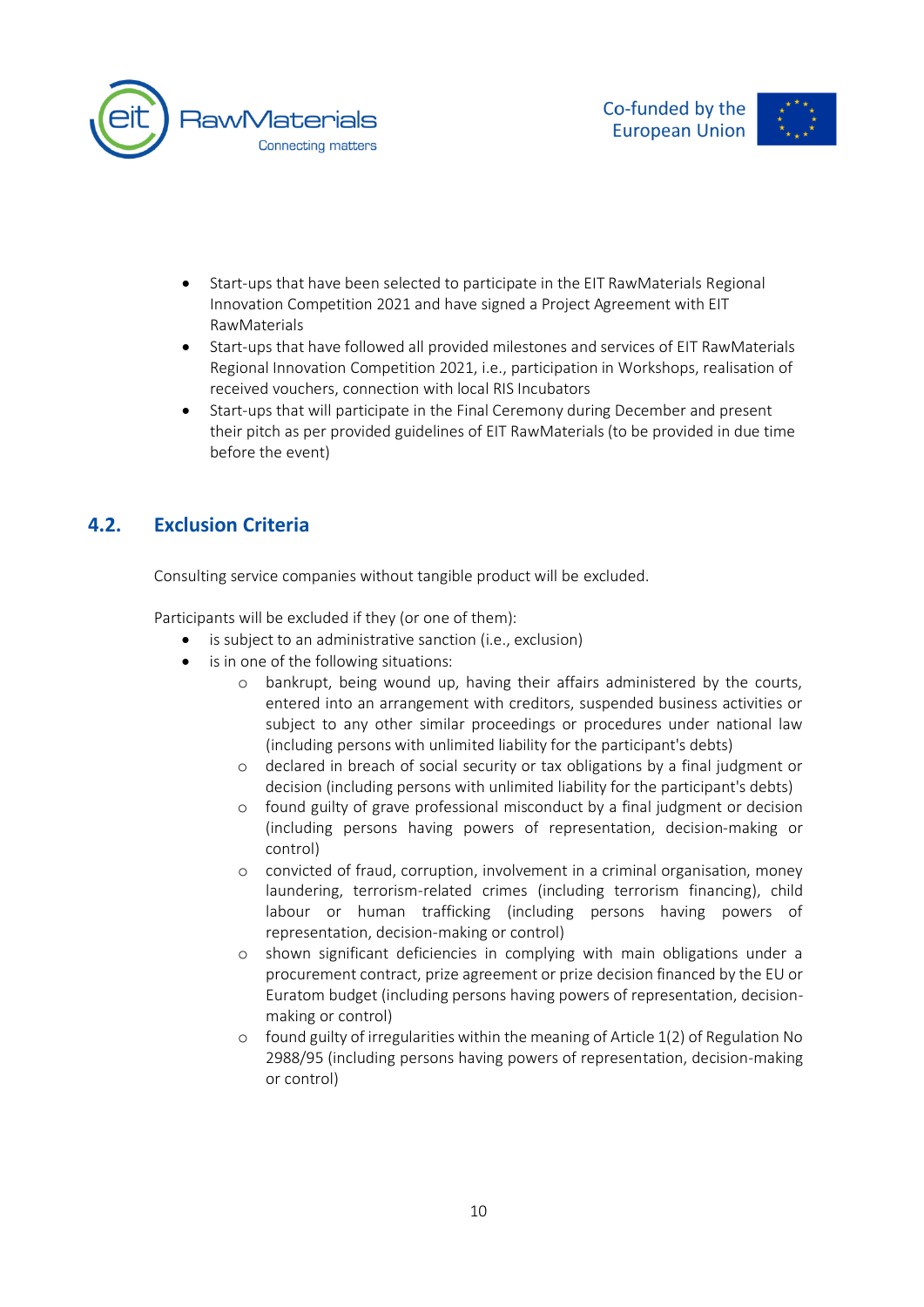



- Start-ups that have been selected to participate in the EIT RawMaterials Regional Innovation Competition 2021 and have signed a Project Agreement with EIT RawMaterials
- Start-ups that have followed all provided milestones and services of EIT RawMaterials Regional Innovation Competition 2021, i.e., participation in Workshops, realisation of received vouchers, connection with local RIS Incubators
- Start-ups that will participate in the Final Ceremony during December and present their pitch as per provided guidelines of EIT RawMaterials (to be provided in due time before the event)

#### <span id="page-10-0"></span>**4.2. Exclusion Criteria**

Consulting service companies without tangible product will be excluded.

Participants will be excluded if they (or one of them):

- is subject to an administrative sanction (i.e., exclusion)
- is in one of the following situations:
	- o bankrupt, being wound up, having their affairs administered by the courts, entered into an arrangement with creditors, suspended business activities or subject to any other similar proceedings or procedures under national law (including persons with unlimited liability for the participant's debts)
	- o declared in breach of social security or tax obligations by a final judgment or decision (including persons with unlimited liability for the participant's debts)
	- o found guilty of grave professional misconduct by a final judgment or decision (including persons having powers of representation, decision-making or control)
	- o convicted of fraud, corruption, involvement in a criminal organisation, money laundering, terrorism-related crimes (including terrorism financing), child labour or human trafficking (including persons having powers of representation, decision-making or control)
	- o shown significant deficiencies in complying with main obligations under a procurement contract, prize agreement or prize decision financed by the EU or Euratom budget (including persons having powers of representation, decisionmaking or control)
	- o found guilty of irregularities within the meaning of Article 1(2) of Regulation No 2988/95 (including persons having powers of representation, decision-making or control)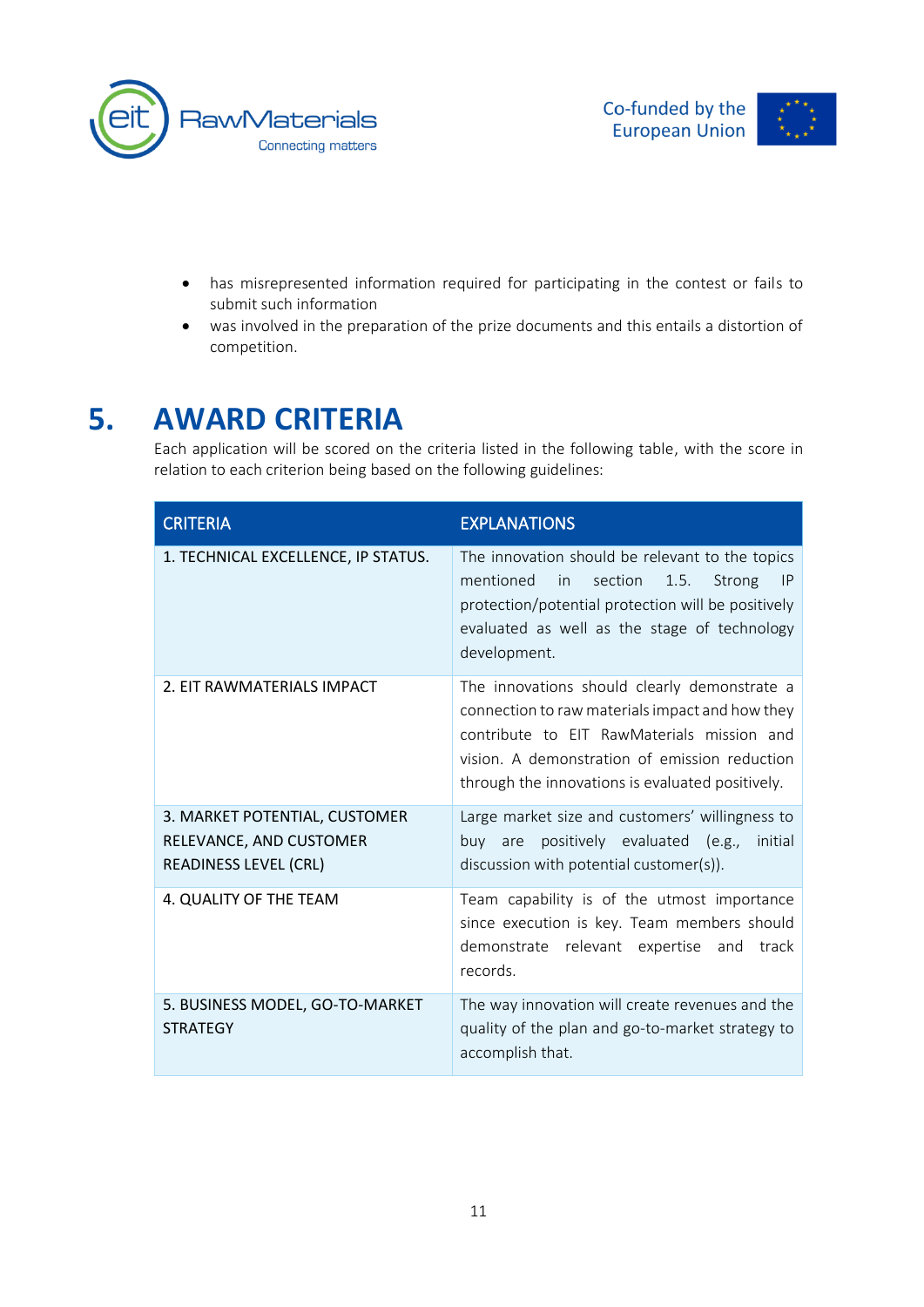





- has misrepresented information required for participating in the contest or fails to submit such information
- was involved in the preparation of the prize documents and this entails a distortion of competition.

## **5. AWARD CRITERIA**

<span id="page-11-0"></span>Each application will be scored on the criteria listed in the following table, with the score in relation to each criterion being based on the following guidelines:

| <b>CRITERIA</b>                                                                   | <b>EXPLANATIONS</b>                                                                                                                                                                                                                                |
|-----------------------------------------------------------------------------------|----------------------------------------------------------------------------------------------------------------------------------------------------------------------------------------------------------------------------------------------------|
| 1. TECHNICAL EXCELLENCE, IP STATUS.                                               | The innovation should be relevant to the topics<br>mentioned<br>in<br>section<br>1.5.<br>Strong<br><b>IP</b><br>protection/potential protection will be positively<br>evaluated as well as the stage of technology<br>development.                 |
| 2. EIT RAWMATERIALS IMPACT                                                        | The innovations should clearly demonstrate a<br>connection to raw materials impact and how they<br>contribute to EIT RawMaterials mission and<br>vision. A demonstration of emission reduction<br>through the innovations is evaluated positively. |
| 3. MARKET POTENTIAL, CUSTOMER<br>RELEVANCE, AND CUSTOMER<br>READINESS LEVEL (CRL) | Large market size and customers' willingness to<br>positively evaluated (e.g.,<br>initial<br>buv<br>are<br>discussion with potential customer(s)).                                                                                                 |
| 4. QUALITY OF THE TEAM                                                            | Team capability is of the utmost importance<br>since execution is key. Team members should<br>demonstrate relevant expertise and<br>track<br>records.                                                                                              |
| 5. BUSINESS MODEL, GO-TO-MARKET<br><b>STRATEGY</b>                                | The way innovation will create revenues and the<br>quality of the plan and go-to-market strategy to<br>accomplish that.                                                                                                                            |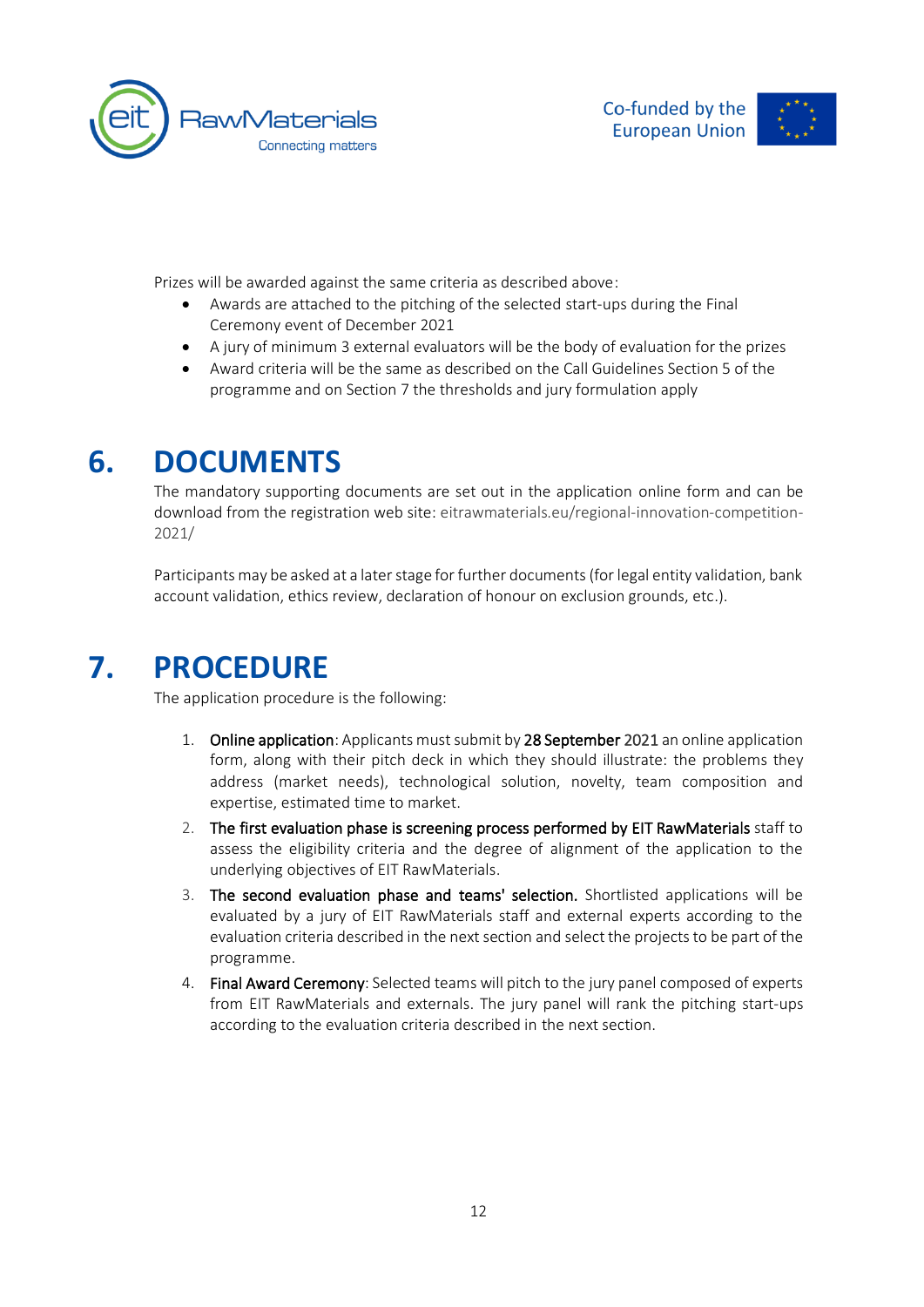



Prizes will be awarded against the same criteria as described above:

- Awards are attached to the pitching of the selected start-ups during the Final Ceremony event of December 2021
- A jury of minimum 3 external evaluators will be the body of evaluation for the prizes
- Award criteria will be the same as described on the Call Guidelines Section 5 of the programme and on Section 7 the thresholds and jury formulation apply

### **6. DOCUMENTS**

<span id="page-12-0"></span>The mandatory supporting documents are set out in the application online form and can be download from the registration web site: [eitrawmaterials.eu/regional-innovation-competition-](https://eitrawmaterials.eu/regional-innovation-competition-2021/)[2021/](https://eitrawmaterials.eu/regional-innovation-competition-2021/)

<span id="page-12-1"></span>Participants may be asked at a later stage for further documents (for legal entity validation, bank account validation, ethics review, declaration of honour on exclusion grounds, etc.).

### **7. PROCEDURE**

The application procedure is the following:

- 1. Online application: Applicants must submit by 28 September 2021 an online application form, along with their pitch deck in which they should illustrate: the problems they address (market needs), technological solution, novelty, team composition and expertise, estimated time to market.
- 2. The first evaluation phase is screening process performed by EIT RawMaterials staff to assess the eligibility criteria and the degree of alignment of the application to the underlying objectives of EIT RawMaterials.
- 3. The second evaluation phase and teams' selection. Shortlisted applications will be evaluated by a jury of EIT RawMaterials staff and external experts according to the evaluation criteria described in the next section and select the projects to be part of the programme.
- 4. Final Award Ceremony: Selected teams will pitch to the jury panel composed of experts from EIT RawMaterials and externals. The jury panel will rank the pitching start-ups according to the evaluation criteria described in the next section.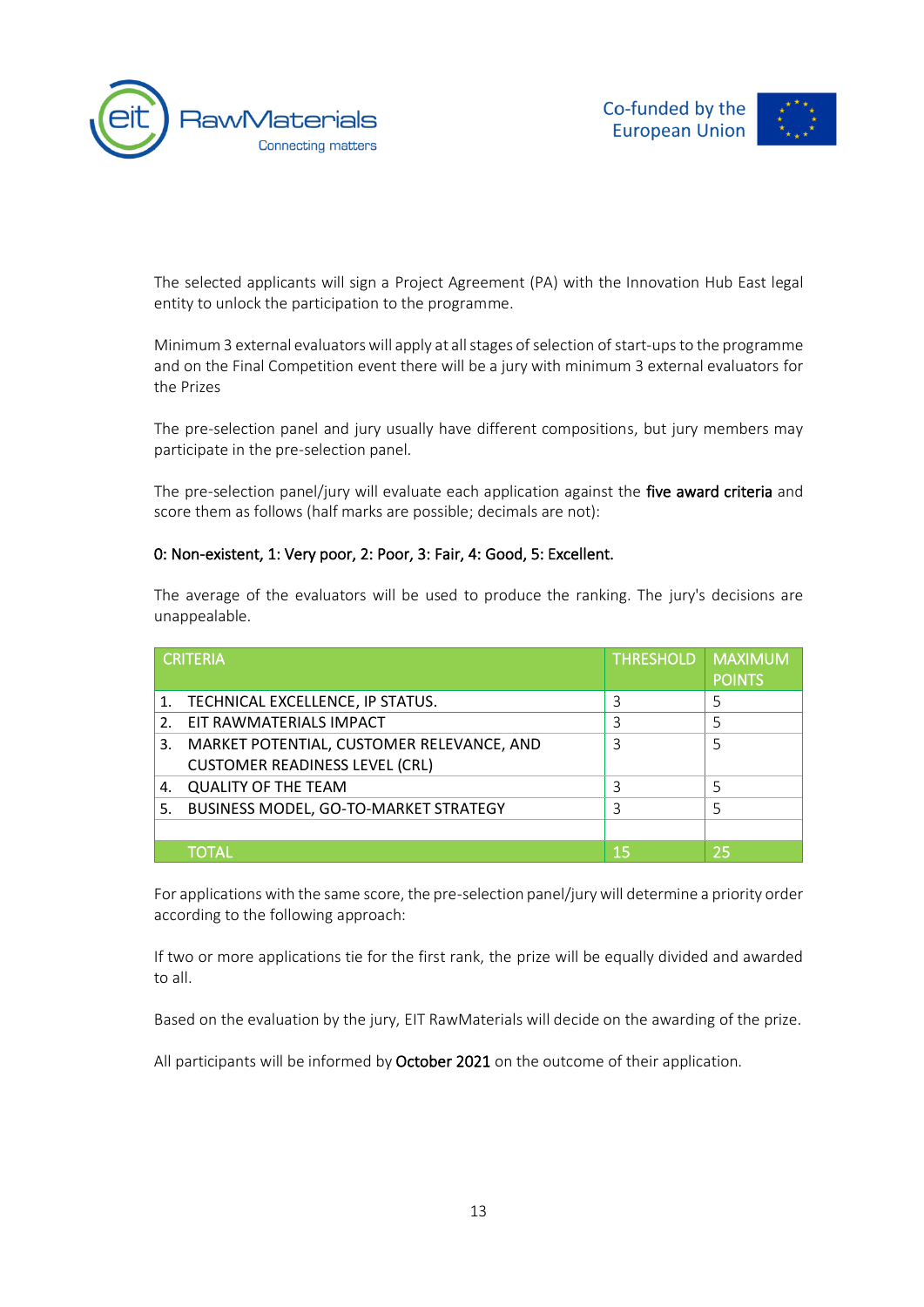



The selected applicants will sign a Project Agreement (PA) with the Innovation Hub East legal entity to unlock the participation to the programme.

Minimum 3 external evaluators will apply at all stages of selection of start-ups to the programme and on the Final Competition event there will be a jury with minimum 3 external evaluators for the Prizes

The pre-selection panel and jury usually have different compositions, but jury members may participate in the pre-selection panel.

The pre-selection panel/jury will evaluate each application against the five award criteria and score them as follows (half marks are possible; decimals are not):

#### 0: Non-existent, 1: Very poor, 2: Poor, 3: Fair, 4: Good, 5: Excellent.

The average of the evaluators will be used to produce the ranking. The jury's decisions are unappealable.

| <b>CRITERIA</b> |                                           | <b>THRESHOLD</b> | <b>MAXIMI</b><br><b>POINTS</b> |
|-----------------|-------------------------------------------|------------------|--------------------------------|
|                 | 1. TECHNICAL EXCELLENCE, IP STATUS.       | 3                |                                |
| 2.              | EIT RAWMATERIALS IMPACT                   | 3                | 5                              |
| 3.              | MARKET POTENTIAL, CUSTOMER RELEVANCE, AND | 3                |                                |
|                 | <b>CUSTOMER READINESS LEVEL (CRL)</b>     |                  |                                |
| 4.              | <b>QUALITY OF THE TEAM</b>                | 3                | 5                              |
| 5.              | BUSINESS MODEL, GO-TO-MARKET STRATEGY     | 3                |                                |
|                 |                                           |                  |                                |
|                 | TOTAL                                     | 15               | 25                             |

For applications with the same score, the pre-selection panel/jury will determine a priority order according to the following approach:

If two or more applications tie for the first rank, the prize will be equally divided and awarded to all.

Based on the evaluation by the jury, EIT RawMaterials will decide on the awarding of the prize.

All participants will be informed by October 2021 on the outcome of their application.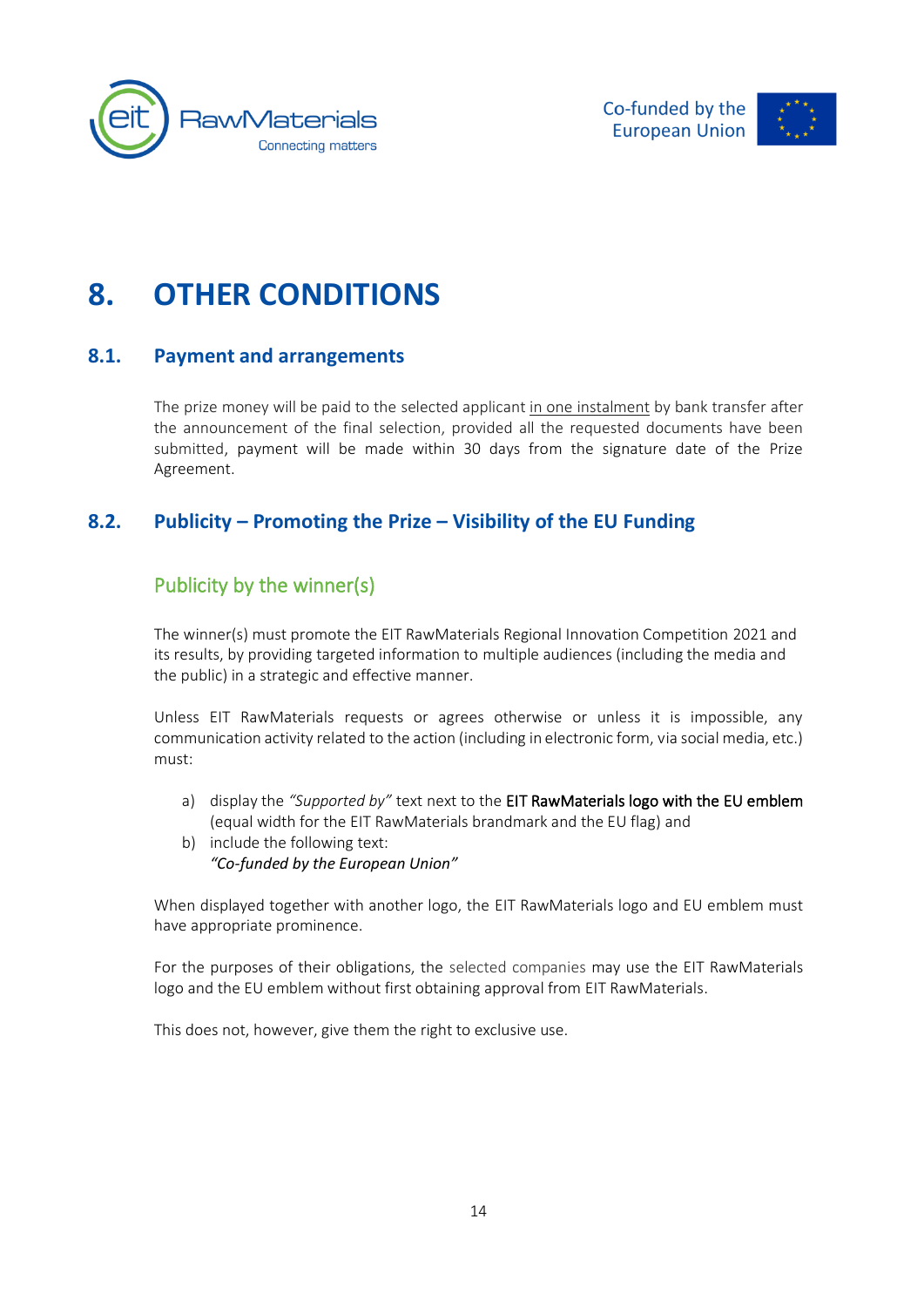



# <span id="page-14-0"></span>**8. OTHER CONDITIONS**

#### <span id="page-14-1"></span>**8.1. Payment and arrangements**

The prize money will be paid to the selected applicant in one instalment by bank transfer after the announcement of the final selection, provided all the requested documents have been submitted, payment will be made within 30 days from the signature date of the Prize Agreement.

### <span id="page-14-2"></span>**8.2. Publicity – Promoting the Prize – Visibility of the EU Funding**

### <span id="page-14-3"></span>Publicity by the winner(s)

The winner(s) must promote the EIT RawMaterials Regional Innovation Competition 2021 and its results, by providing targeted information to multiple audiences (including the media and the public) in a strategic and effective manner.

Unless EIT RawMaterials requests or agrees otherwise or unless it is impossible, any communication activity related to the action (including in electronic form, via social media, etc.) must:

- a) display the *"Supported by"* text next to the EIT RawMaterials logo with the EU emblem (equal width for the EIT RawMaterials brandmark and the EU flag) and
- b) include the following text: *"Co-funded by the European Union"*

When displayed together with another logo, the EIT RawMaterials logo and EU emblem must have appropriate prominence.

For the purposes of their obligations, the selected companies may use the EIT RawMaterials logo and the EU emblem without first obtaining approval from EIT RawMaterials.

This does not, however, give them the right to exclusive use.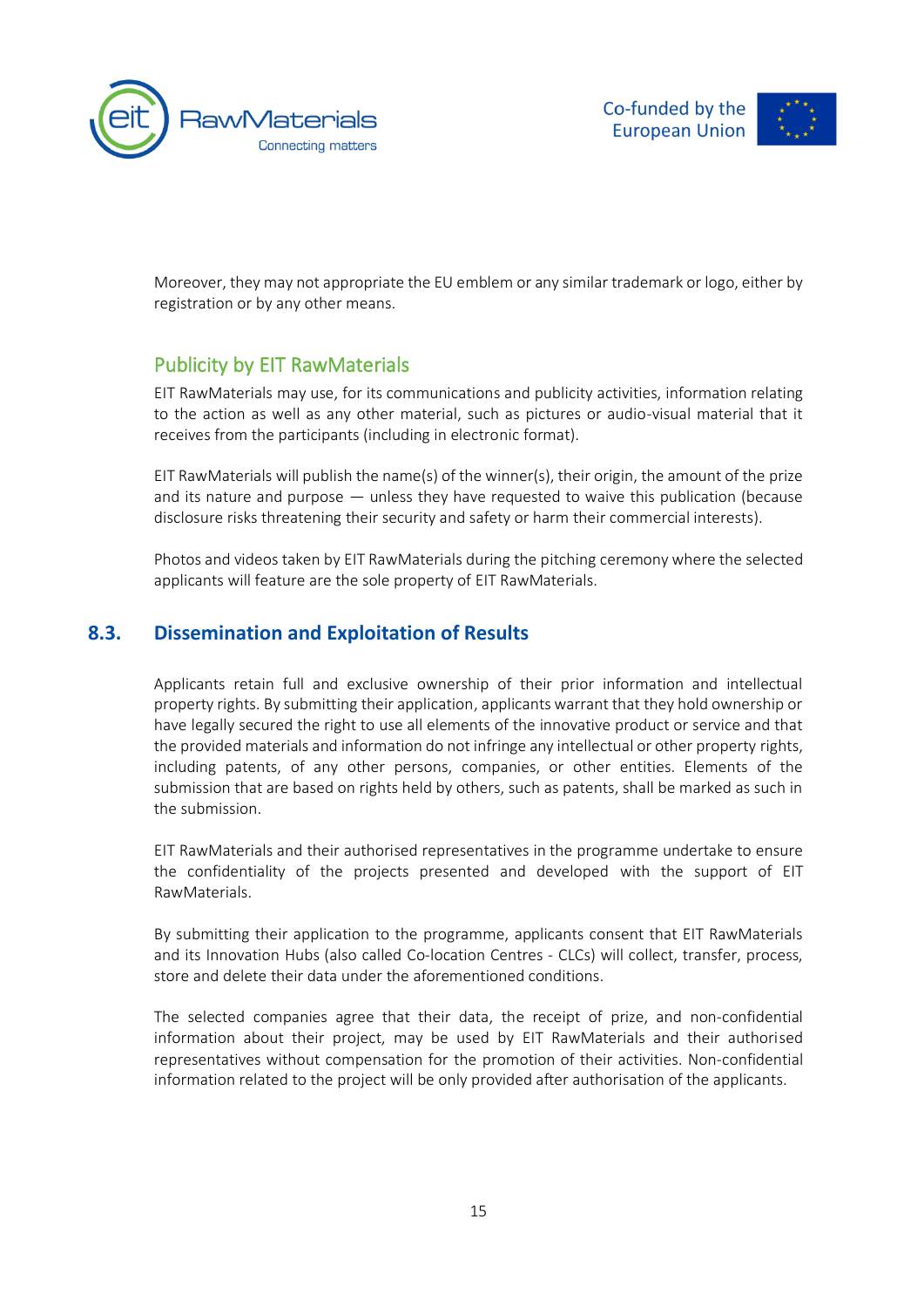



Moreover, they may not appropriate the EU emblem or any similar trademark or logo, either by registration or by any other means.

#### <span id="page-15-0"></span>Publicity by EIT RawMaterials

EIT RawMaterials may use, for its communications and publicity activities, information relating to the action as well as any other material, such as pictures or audio-visual material that it receives from the participants (including in electronic format).

EIT RawMaterials will publish the name(s) of the winner(s), their origin, the amount of the prize and its nature and purpose — unless they have requested to waive this publication (because disclosure risks threatening their security and safety or harm their commercial interests).

<span id="page-15-1"></span>Photos and videos taken by EIT RawMaterials during the pitching ceremony where the selected applicants will feature are the sole property of EIT RawMaterials.

#### **8.3. Dissemination and Exploitation of Results**

Applicants retain full and exclusive ownership of their prior information and intellectual property rights. By submitting their application, applicants warrant that they hold ownership or have legally secured the right to use all elements of the innovative product or service and that the provided materials and information do not infringe any intellectual or other property rights, including patents, of any other persons, companies, or other entities. Elements of the submission that are based on rights held by others, such as patents, shall be marked as such in the submission.

EIT RawMaterials and their authorised representatives in the programme undertake to ensure the confidentiality of the projects presented and developed with the support of EIT RawMaterials.

By submitting their application to the programme, applicants consent that EIT RawMaterials and its Innovation Hubs (also called Co-location Centres - CLCs) will collect, transfer, process, store and delete their data under the aforementioned conditions.

The selected companies agree that their data, the receipt of prize, and non-confidential information about their project, may be used by EIT RawMaterials and their authorised representatives without compensation for the promotion of their activities. Non-confidential information related to the project will be only provided after authorisation of the applicants.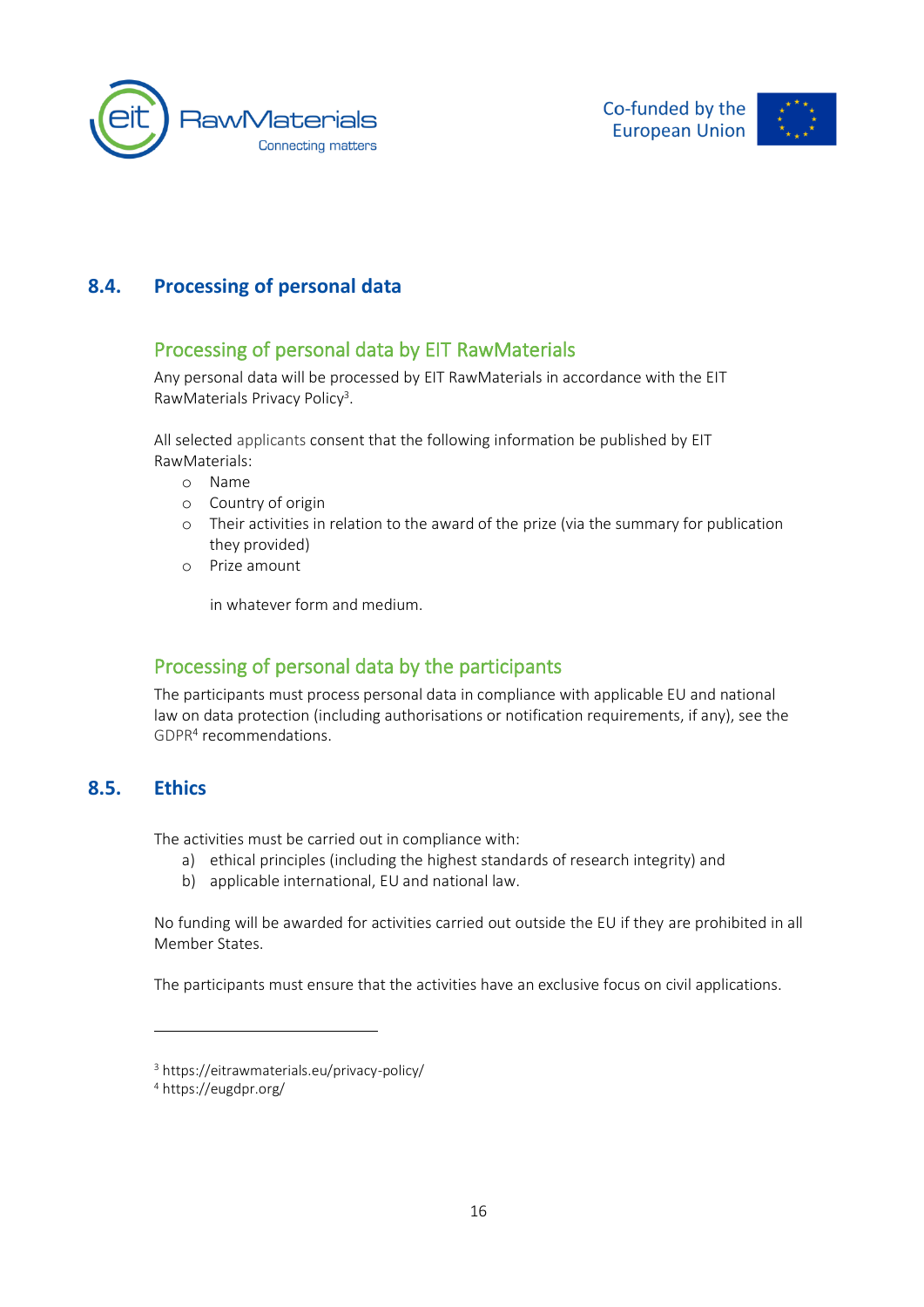





#### <span id="page-16-0"></span>**8.4. Processing of personal data**

#### <span id="page-16-1"></span>Processing of personal data by EIT RawMaterials

Any personal data will be processed by EIT RawMaterials in accordance with the EIT RawMaterials Privacy Policy<sup>3</sup>.

All selected applicants consent that the following information be published by EIT RawMaterials:

- o Name
- o Country of origin
- o Their activities in relation to the award of the prize (via the summary for publication they provided)
- o Prize amount

in whatever form and medium.

#### <span id="page-16-2"></span>Processing of personal data by the participants

<span id="page-16-3"></span>The participants must process personal data in compliance with applicable EU and national law on data protection (including authorisations or notification requirements, if any), see the [GDPR](https://eugdpr.org/)<sup>4</sup> recommendations.

#### **8.5. Ethics**

The activities must be carried out in compliance with:

- a) ethical principles (including the highest standards of research integrity) and
- b) applicable international, EU and national law.

No funding will be awarded for activities carried out outside the EU if they are prohibited in all Member States.

The participants must ensure that the activities have an exclusive focus on civil applications.

<sup>3</sup> https://eitrawmaterials.eu/privacy-policy/

<sup>4</sup> https://eugdpr.org/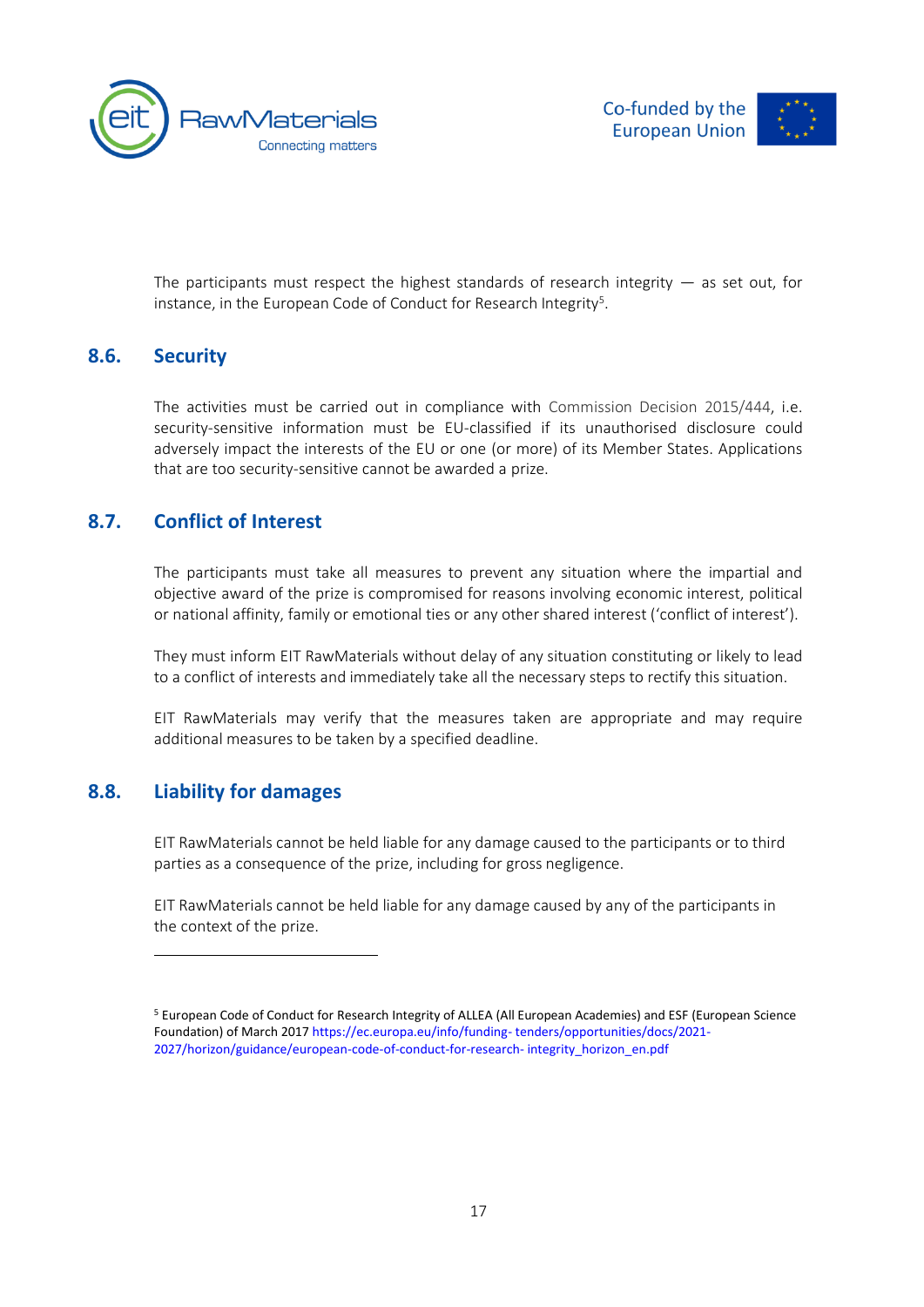



<span id="page-17-0"></span>The participants must respect the highest standards of research integrity  $-$  as set out, for instance, in the European Code of Conduct for Research Integrity<sup>5</sup>.

#### **8.6. Security**

The activities must be carried out in compliance with [Commission Decision 2015/444,](https://eur-lex.europa.eu/legal-content/EN/TXT/PDF/?uri=OJ:JOL_2015_072_R_0011&qid=1427204240846&from=EN) i.e. security-sensitive information must be EU-classified if its unauthorised disclosure could adversely impact the interests of the EU or one (or more) of its Member States. Applications that are too security-sensitive cannot be awarded a prize.

#### <span id="page-17-1"></span>**8.7. Conflict of Interest**

The participants must take all measures to prevent any situation where the impartial and objective award of the prize is compromised for reasons involving economic interest, political or national affinity, family or emotional ties or any other shared interest ('conflict of interest').

They must inform EIT RawMaterials without delay of any situation constituting or likely to lead to a conflict of interests and immediately take all the necessary steps to rectify this situation.

<span id="page-17-2"></span>EIT RawMaterials may verify that the measures taken are appropriate and may require additional measures to be taken by a specified deadline.

#### **8.8. Liability for damages**

EIT RawMaterials cannot be held liable for any damage caused to the participants or to third parties as a consequence of the prize, including for gross negligence.

EIT RawMaterials cannot be held liable for any damage caused by any of the participants in the context of the prize.

<sup>5</sup> European Code of Conduct for Research Integrity of ALLEA (All European Academies) and ESF (European Science Foundation) of March 2017 https://ec.europa.eu/info/funding- tenders/opportunities/docs/2021- 2027/horizon/guidance/european-code-of-conduct-for-research- integrity\_horizon\_en.pdf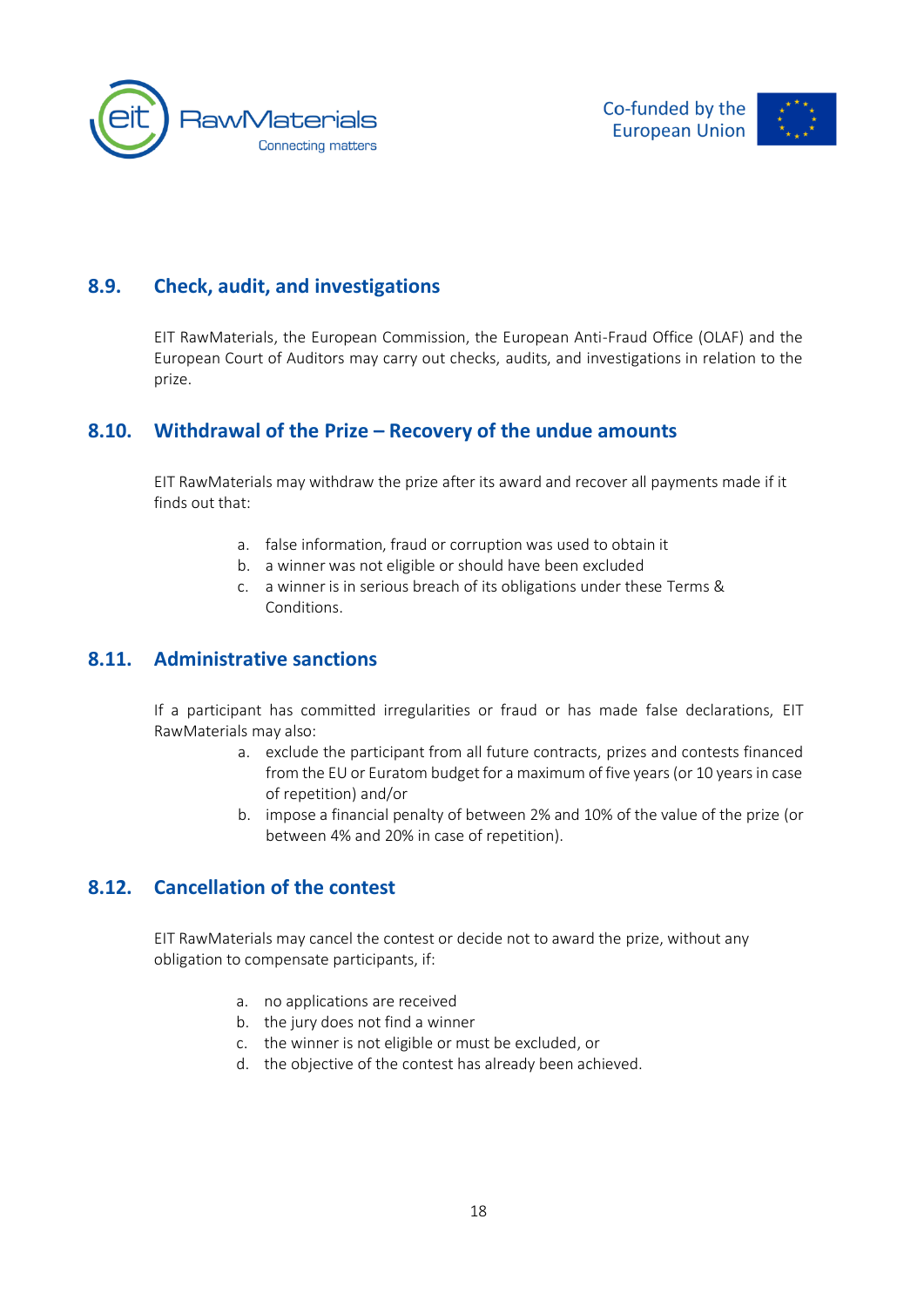





#### **8.9. Check, audit, and investigations**

<span id="page-18-1"></span><span id="page-18-0"></span>EIT RawMaterials, the European Commission, the European Anti-Fraud Office (OLAF) and the European Court of Auditors may carry out checks, audits, and investigations in relation to the prize.

#### **8.10. Withdrawal of the Prize – Recovery of the undue amounts**

EIT RawMaterials may withdraw the prize after its award and recover all payments made if it finds out that:

- a. false information, fraud or corruption was used to obtain it
- b. a winner was not eligible or should have been excluded
- c. a winner is in serious breach of its obligations under these Terms & Conditions.

#### <span id="page-18-2"></span>**8.11. Administrative sanctions**

If a participant has committed irregularities or fraud or has made false declarations, EIT RawMaterials may also:

- a. exclude the participant from all future contracts, prizes and contests financed from the EU or Euratom budget for a maximum of five years (or 10 years in case of repetition) and/or
- b. impose a financial penalty of between 2% and 10% of the value of the prize (or between 4% and 20% in case of repetition).

#### <span id="page-18-3"></span>**8.12. Cancellation of the contest**

EIT RawMaterials may cancel the contest or decide not to award the prize, without any obligation to compensate participants, if:

- a. no applications are received
- b. the jury does not find a winner
- c. the winner is not eligible or must be excluded, or
- d. the objective of the contest has already been achieved.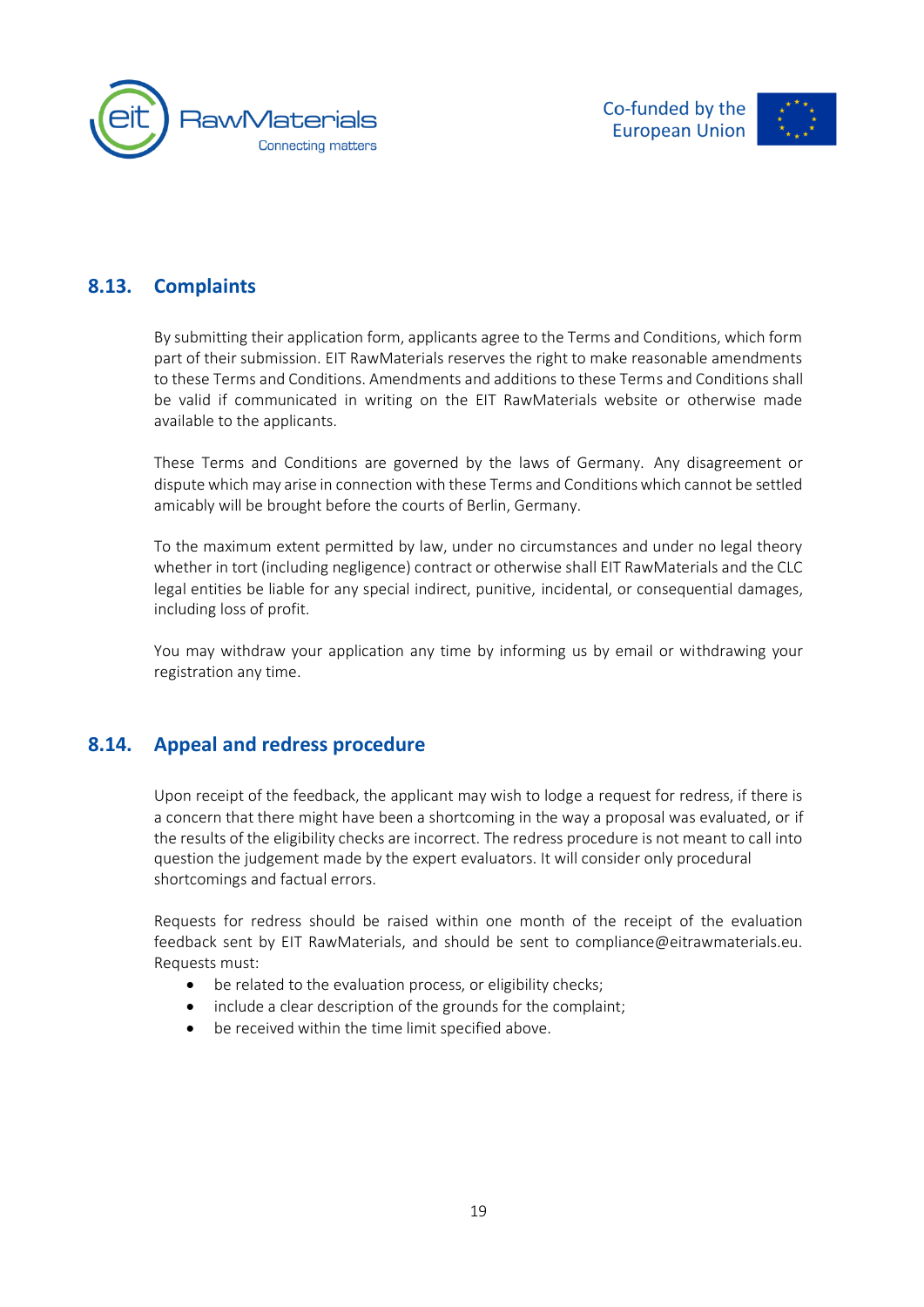



#### **8.13. Complaints**

<span id="page-19-0"></span>By submitting their application form, applicants agree to the Terms and Conditions, which form part of their submission. EIT RawMaterials reserves the right to make reasonable amendments to these Terms and Conditions. Amendments and additions to these Terms and Conditions shall be valid if communicated in writing on the EIT RawMaterials website or otherwise made available to the applicants.

These Terms and Conditions are governed by the laws of Germany. Any disagreement or dispute which may arise in connection with these Terms and Conditions which cannot be settled amicably will be brought before the courts of Berlin, Germany.

To the maximum extent permitted by law, under no circumstances and under no legal theory whether in tort (including negligence) contract or otherwise shall EIT RawMaterials and the CLC legal entities be liable for any special indirect, punitive, incidental, or consequential damages, including loss of profit.

<span id="page-19-1"></span>You may withdraw your application any time by informing us by email or withdrawing your registration any time.

#### **8.14. Appeal and redress procedure**

Upon receipt of the feedback, the applicant may wish to lodge a request for redress, if there is a concern that there might have been a shortcoming in the way a proposal was evaluated, or if the results of the eligibility checks are incorrect. The redress procedure is not meant to call into question the judgement made by the expert evaluators. It will consider only procedural shortcomings and factual errors.

Requests for redress should be raised within one month of the receipt of the evaluation feedback sent by EIT RawMaterials, and should be sent to compliance@eitrawmaterials.eu. Requests must:

- be related to the evaluation process, or eligibility checks;
- include a clear description of the grounds for the complaint;
- be received within the time limit specified above.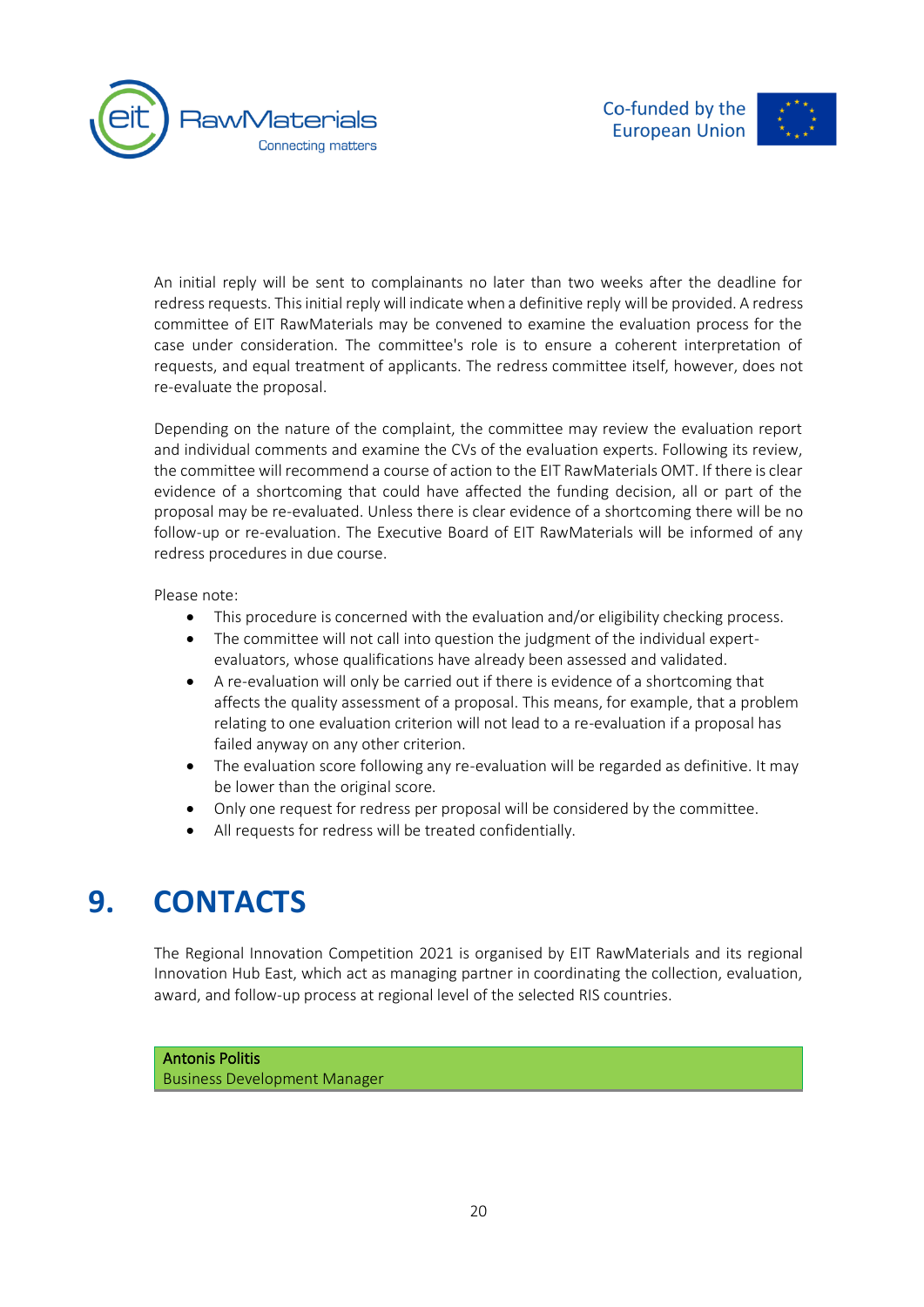



An initial reply will be sent to complainants no later than two weeks after the deadline for redress requests. This initial reply will indicate when a definitive reply will be provided. A redress committee of EIT RawMaterials may be convened to examine the evaluation process for the case under consideration. The committee's role is to ensure a coherent interpretation of requests, and equal treatment of applicants. The redress committee itself, however, does not re-evaluate the proposal.

Depending on the nature of the complaint, the committee may review the evaluation report and individual comments and examine the CVs of the evaluation experts. Following its review, the committee will recommend a course of action to the EIT RawMaterials OMT. If there is clear evidence of a shortcoming that could have affected the funding decision, all or part of the proposal may be re-evaluated. Unless there is clear evidence of a shortcoming there will be no follow-up or re-evaluation. The Executive Board of EIT RawMaterials will be informed of any redress procedures in due course.

Please note:

- This procedure is concerned with the evaluation and/or eligibility checking process.
- The committee will not call into question the judgment of the individual expertevaluators, whose qualifications have already been assessed and validated.
- A re-evaluation will only be carried out if there is evidence of a shortcoming that affects the quality assessment of a proposal. This means, for example, that a problem relating to one evaluation criterion will not lead to a re-evaluation if a proposal has failed anyway on any other criterion.
- The evaluation score following any re-evaluation will be regarded as definitive. It may be lower than the original score.
- Only one request for redress per proposal will be considered by the committee.
- <span id="page-20-0"></span>• All requests for redress will be treated confidentially.

### **9. CONTACTS**

The Regional Innovation Competition 2021 is organised by EIT RawMaterials and its regional Innovation Hub East, which act as managing partner in coordinating the collection, evaluation, award, and follow-up process at regional level of the selected RIS countries.

### Antonis Politis

Business Development Manager